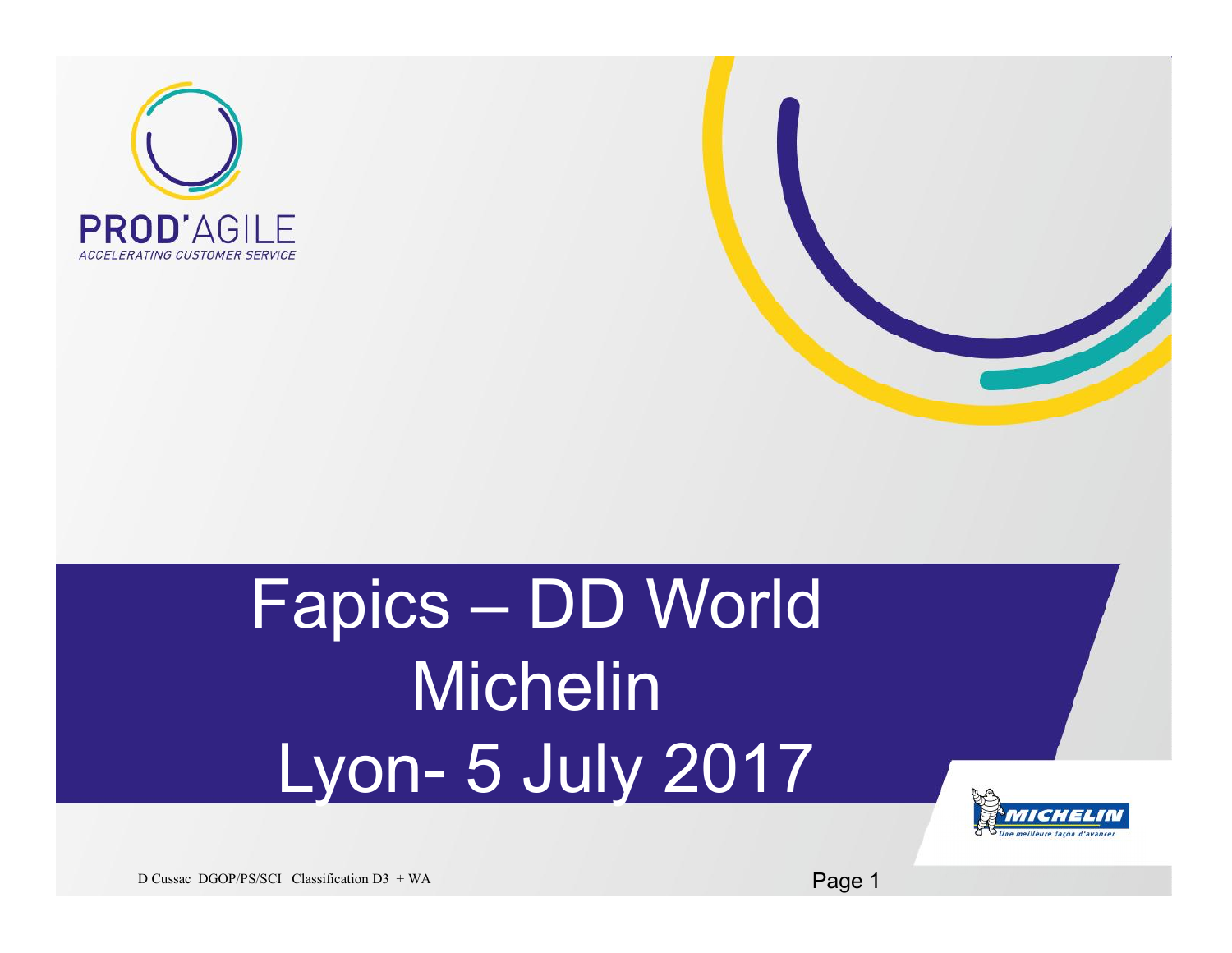



## Fapics – DD World Michelin Lyon- 5 July 2017



D Cussac DGOP/PS/SCI Classification D3 + WA Page 1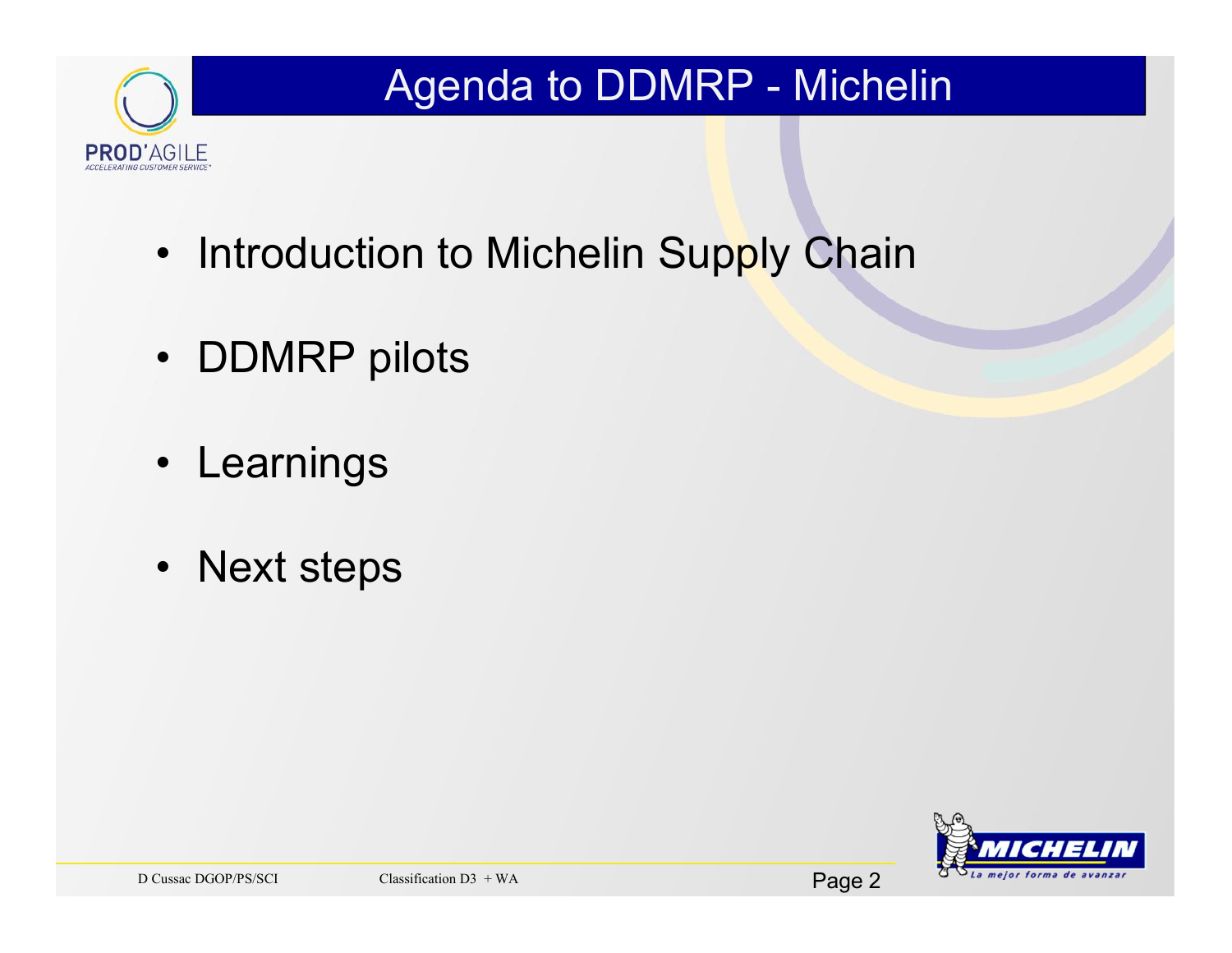

### Agenda to DDMRP - Michelin

- Introduction to Michelin Supply Chain
- DDMRP pilots
- Learnings
- Next steps

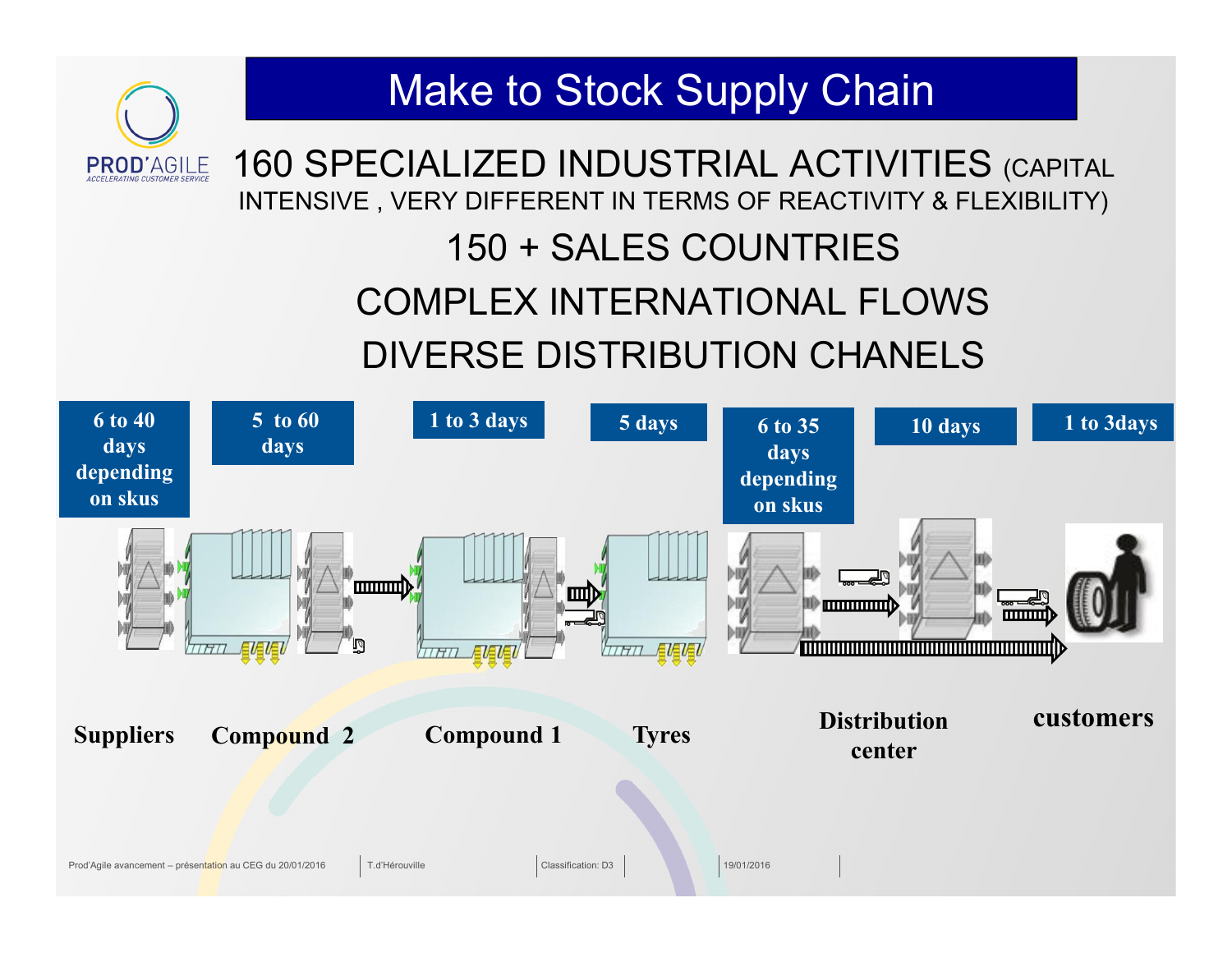### Make to Stock Supply Chain160 SPECIALIZED INDUSTRIAL ACTIVITIES (CAPITAL **PROD'AGILE** INTENSIVE , VERY DIFFERENT IN TERMS OF REACTIVITY & FLEXIBILITY) 150 + SALES COUNTRIES COMPLEX INTERNATIONAL FLOWS DIVERSE DISTRIBUTION CHANELS **5 to 60**

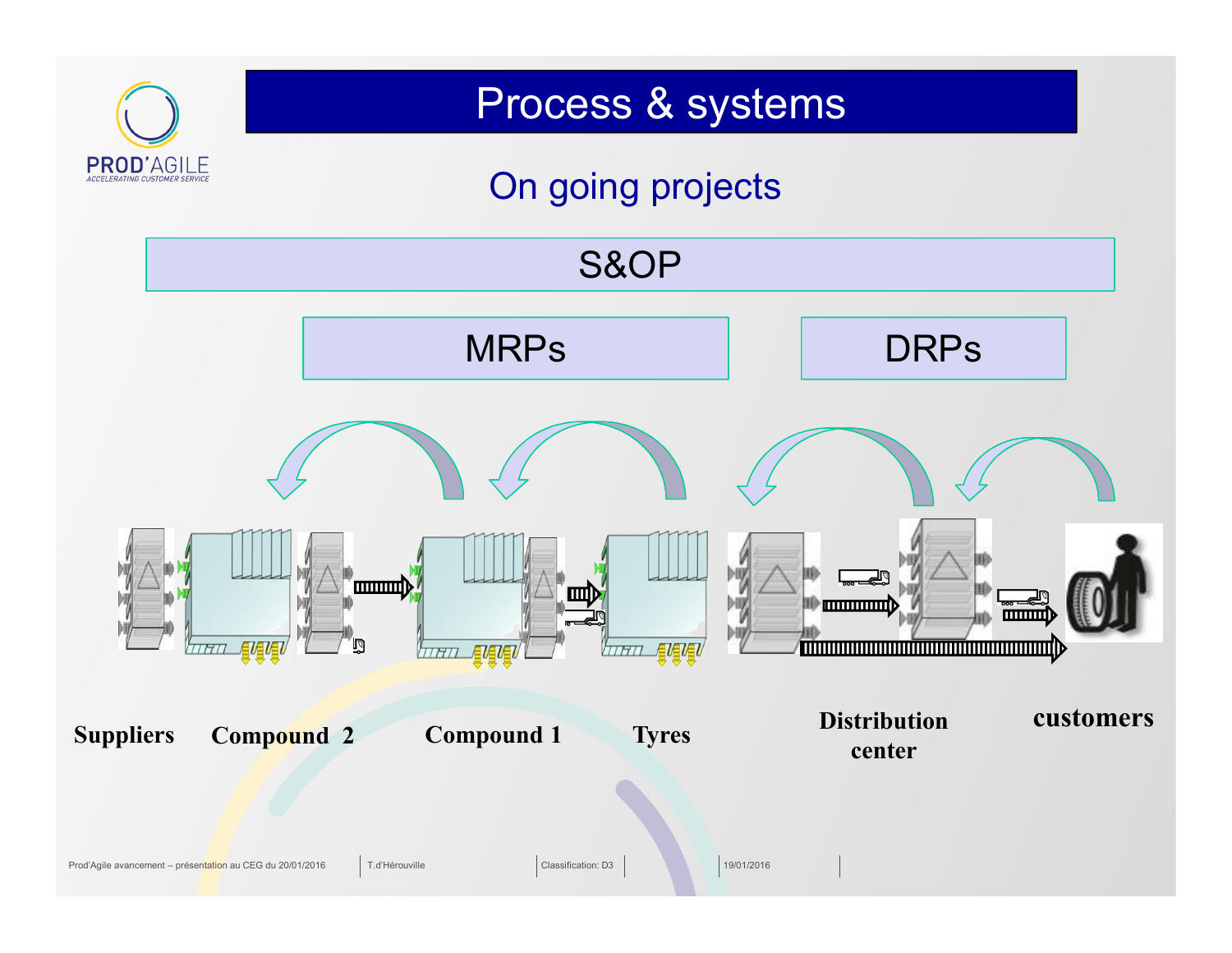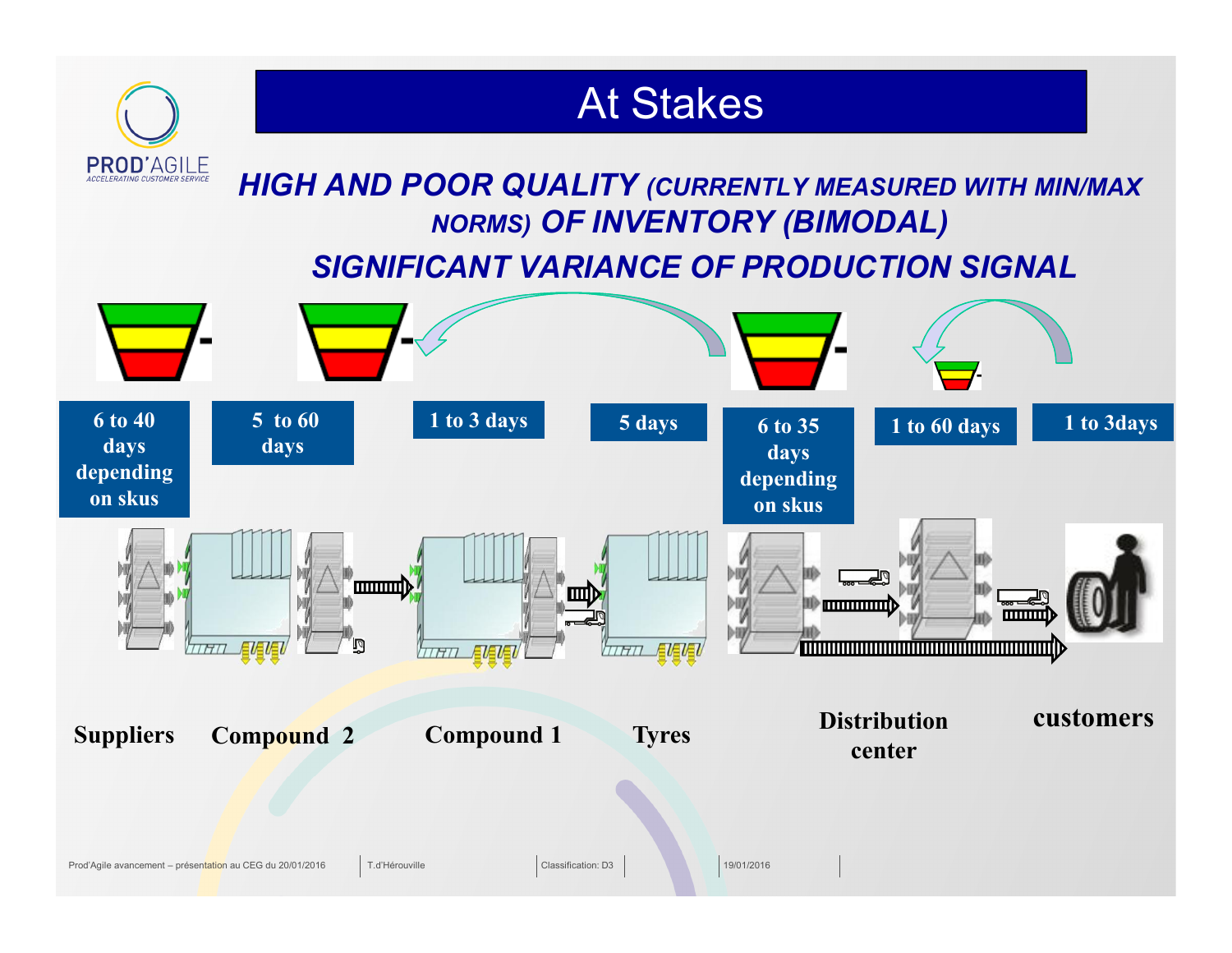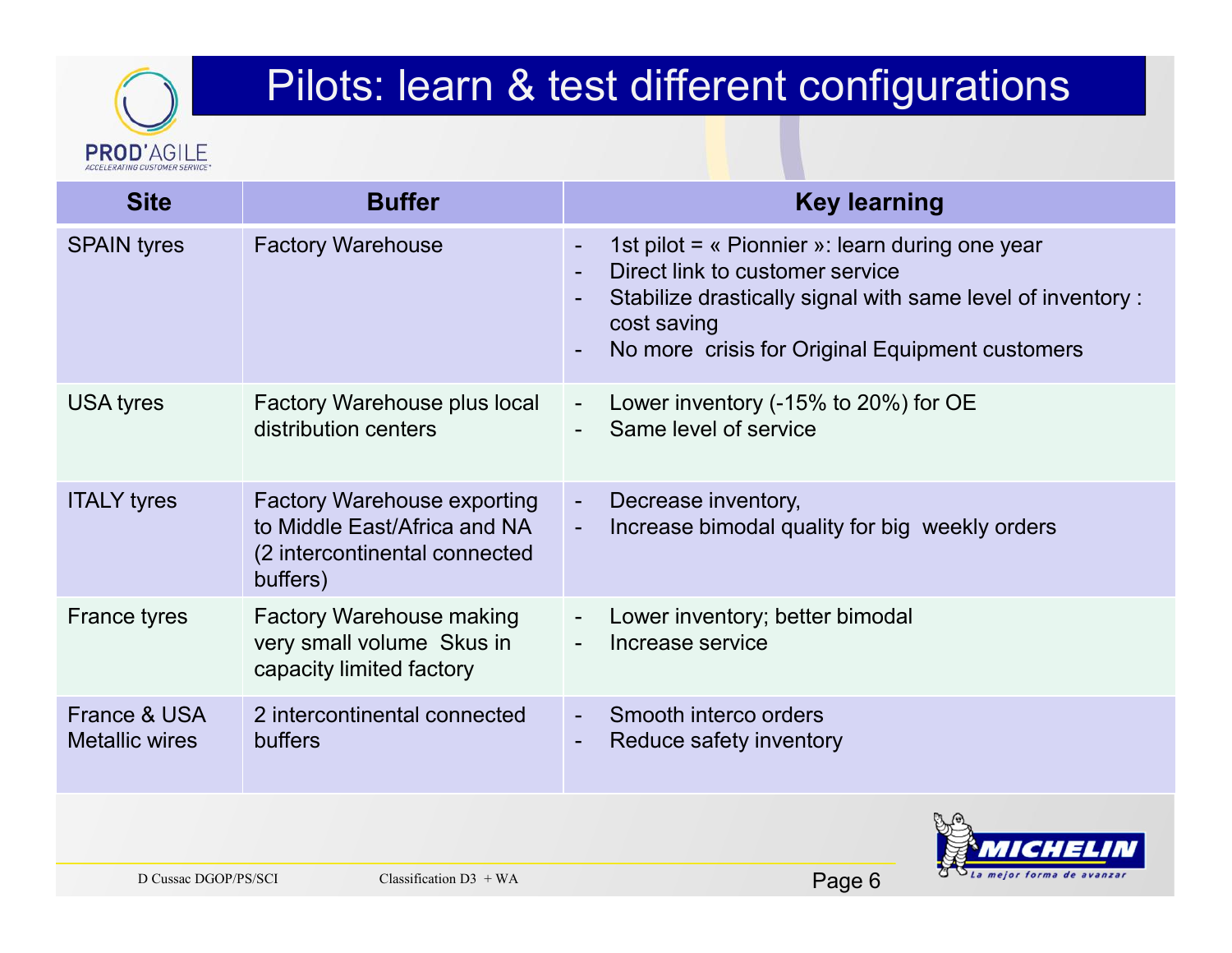# **PROD'AGILE**

### Pilots: learn & test different configurations

| <b>Site</b>                           | <b>Buffer</b>                                                                                                   |                | <b>Key learning</b>                                                                                                                                                                                                 |
|---------------------------------------|-----------------------------------------------------------------------------------------------------------------|----------------|---------------------------------------------------------------------------------------------------------------------------------------------------------------------------------------------------------------------|
| <b>SPAIN tyres</b>                    | <b>Factory Warehouse</b>                                                                                        | $\blacksquare$ | 1st pilot = « Pionnier »: learn during one year<br>Direct link to customer service<br>Stabilize drastically signal with same level of inventory :<br>cost saving<br>No more crisis for Original Equipment customers |
| <b>USA tyres</b>                      | <b>Factory Warehouse plus local</b><br>distribution centers                                                     | $\blacksquare$ | Lower inventory (-15% to 20%) for OE<br>Same level of service                                                                                                                                                       |
| <b>ITALY tyres</b>                    | <b>Factory Warehouse exporting</b><br>to Middle East/Africa and NA<br>(2 intercontinental connected<br>buffers) | $\blacksquare$ | Decrease inventory,<br>Increase bimodal quality for big weekly orders                                                                                                                                               |
| <b>France tyres</b>                   | <b>Factory Warehouse making</b><br>very small volume Skus in<br>capacity limited factory                        |                | Lower inventory; better bimodal<br>Increase service                                                                                                                                                                 |
| France & USA<br><b>Metallic wires</b> | 2 intercontinental connected<br>buffers                                                                         |                | Smooth interco orders<br>Reduce safety inventory                                                                                                                                                                    |
| D Cussac DGOP/PS/SCI                  | $\Gamma$ laggification $D2 + WA$                                                                                |                | $D_{\Omega}$                                                                                                                                                                                                        |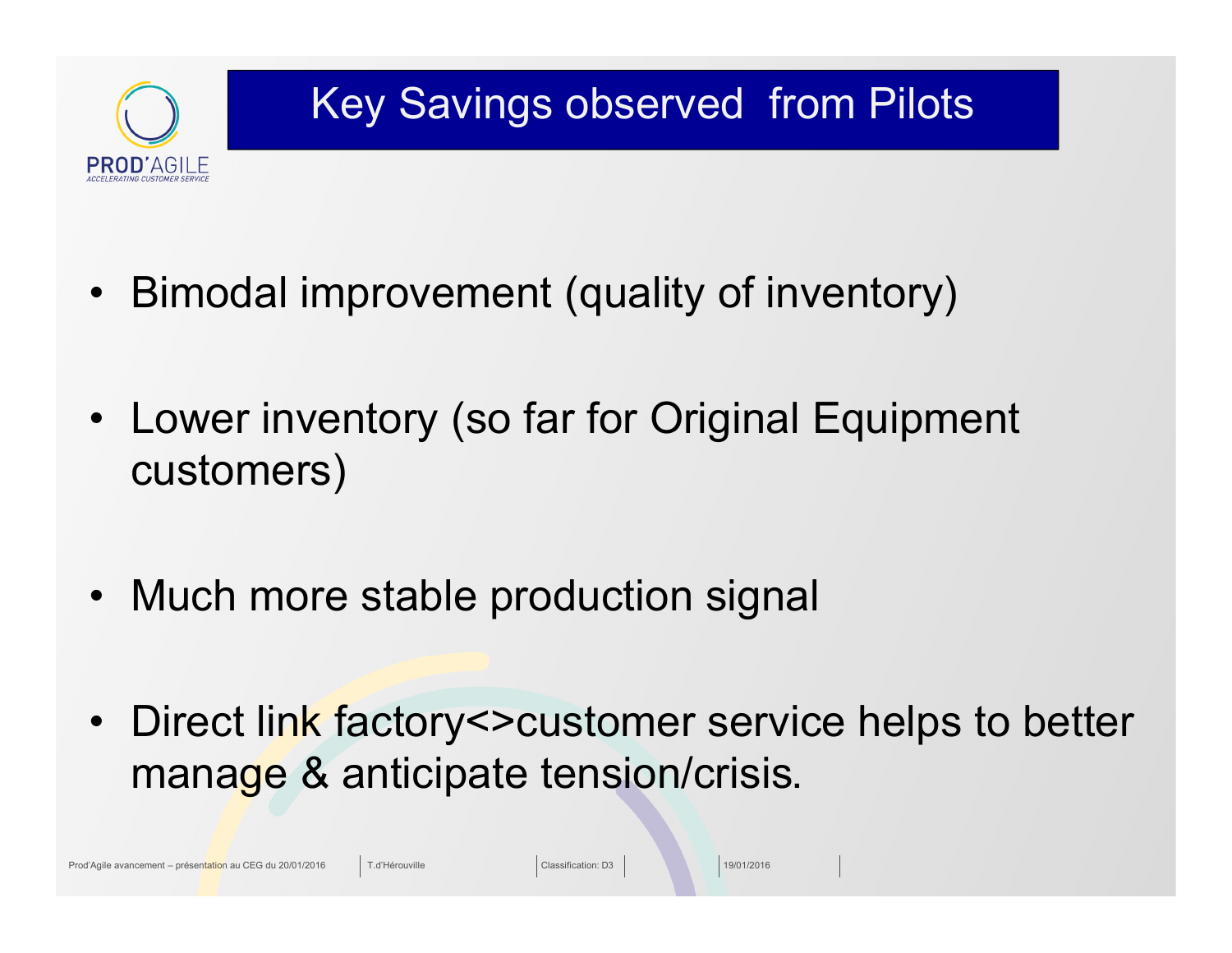

### Key Savings observed from Pilots

- Bimodal improvement (quality of inventory)
- Lower inventory (so far for Original Equipment customers)
- Much more stable production signal
- Direct link factory<>customer service helps to better manage & anticipate tension/crisis**.**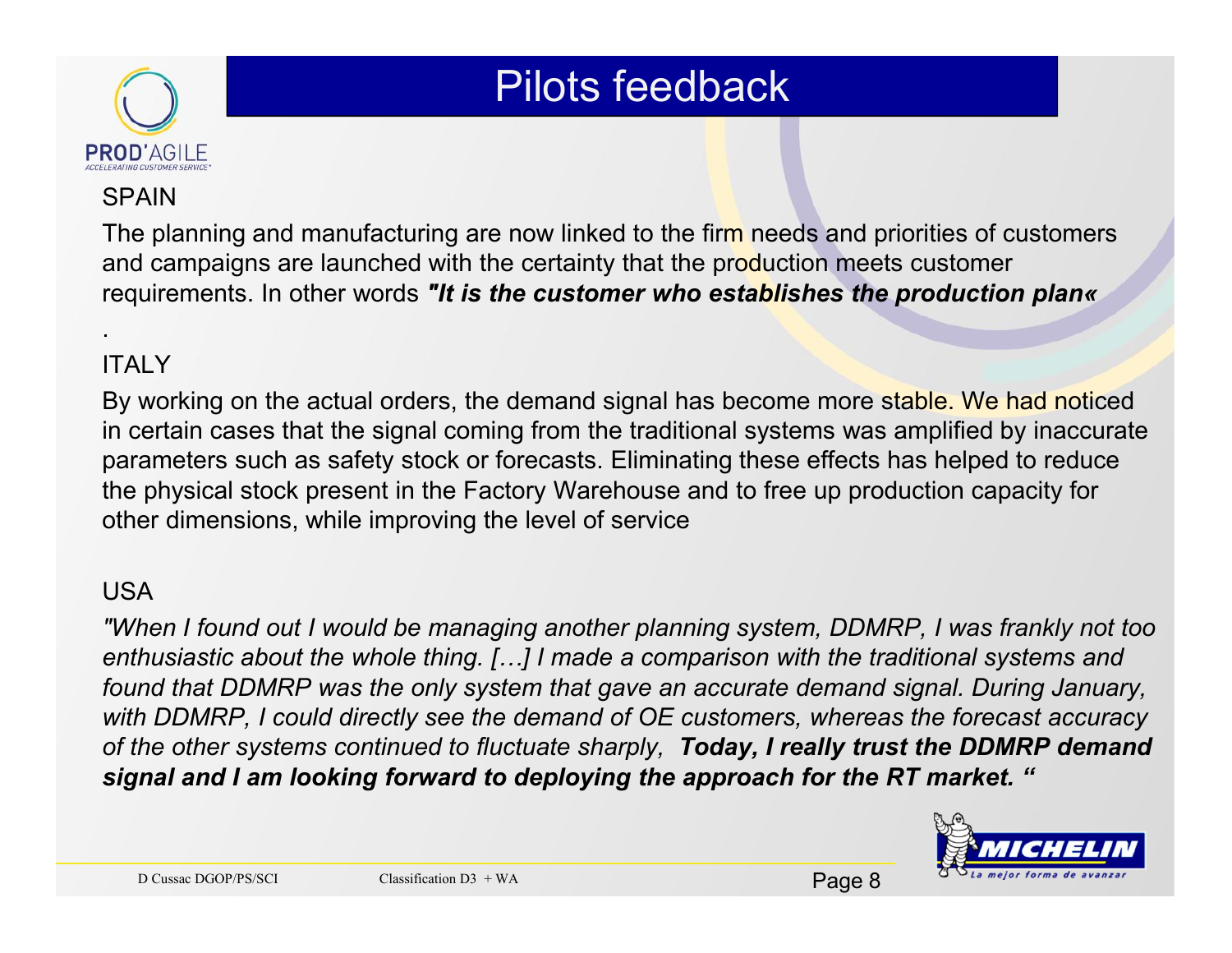

#### **SPAIN**

The planning and manufacturing are now linked to the firm needs and priorities of customers and campaigns are launched with the certainty that the production meets customer requirements. In other words *"It is the customer who establishes the production plan«*

#### **ITALY**

.

By working on the actual orders, the demand signal has become more stable. We had noticed in certain cases that the signal coming from the traditional systems was amplified by inaccurate parameters such as safety stock or forecasts. Eliminating these effects has helped to reduce the physical stock present in the Factory Warehouse and to free up production capacity for other dimensions, while improving the level of service

#### USA

*"When I found out I would be managing another planning system, DDMRP, I was frankly not too enthusiastic about the whole thing. […] I made a comparison with the traditional systems and found that DDMRP was the only system that gave an accurate demand signal. During January, with DDMRP, I could directly see the demand of OE customers, whereas the forecast accuracy of the other systems continued to fluctuate sharply, Today, I really trust the DDMRP demand signal and I am looking forward to deploying the approach for the RT market. "*

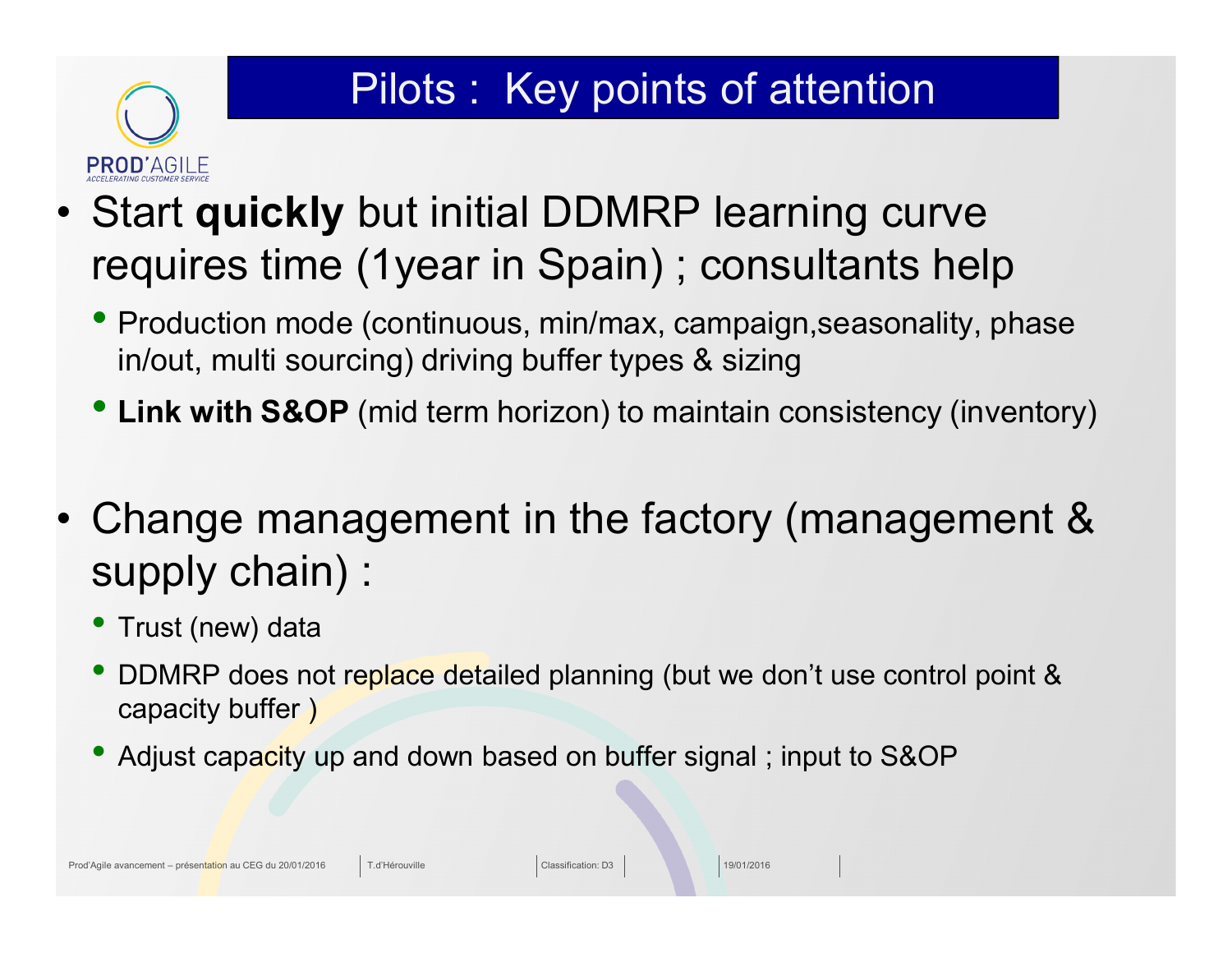### Pilots : Key points of attention

- Start **quickly** but initial DDMRP learning curve requires time (1year in Spain) ; consultants help
	- Production mode (continuous, min/max, campaign, seasonality, phase in/out, multi sourcing) driving buffer types & sizing
	- **Link with S&OP** (mid term horizon) to maintain consistency (inventory)
- Change management in the factory (management & supply chain) :
	- Trust (new) data

**PROD'AGILE** 

- DDMRP does not replace detailed planning (but we don't use control point & capacity buffer )
- Adjust capacity up and down based on buffer signal; input to S&OP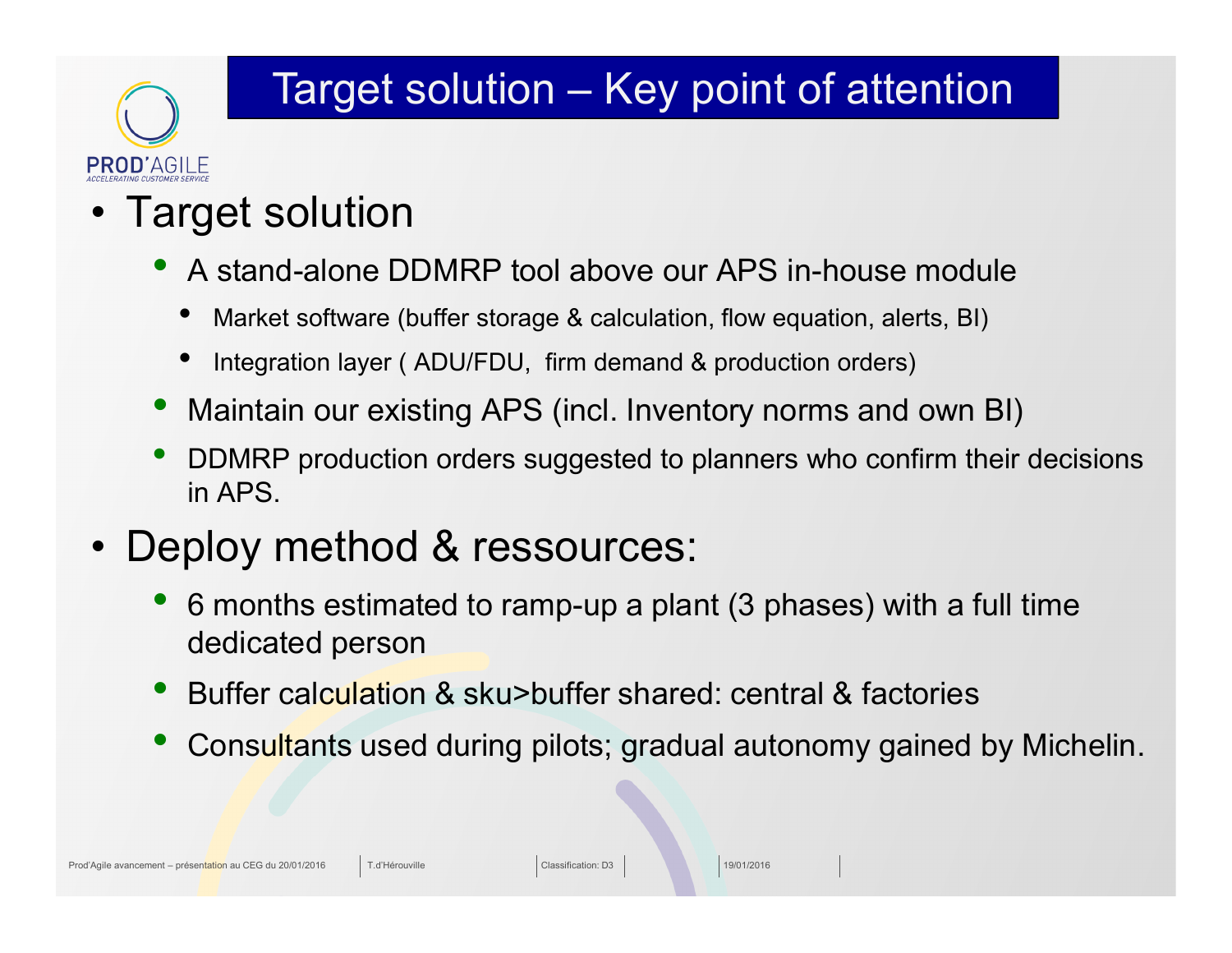### Target solution – Key point of attention

### • Target solution

**PROD'AGILE** 

- A stand-alone DDMRP tool above our APS in-house module
	- Market software (buffer storage & calculation, flow equation, alerts, BI)
	- Integration layer (ADU/FDU, firm demand & production orders)
- Maintain our existing APS (incl. Inventory norms and own BI)
- DDMRP production orders suggested to planners who confirm their decisions in APS.
- Deploy method & ressources:
	- 6 months estimated to ramp-up a plant (3 phases) with a full time dedicated person
	- Buffer calculation & sku>buffer shared: central & factories
	- Consultants used during pilots; gradual autonomy gained by Michelin.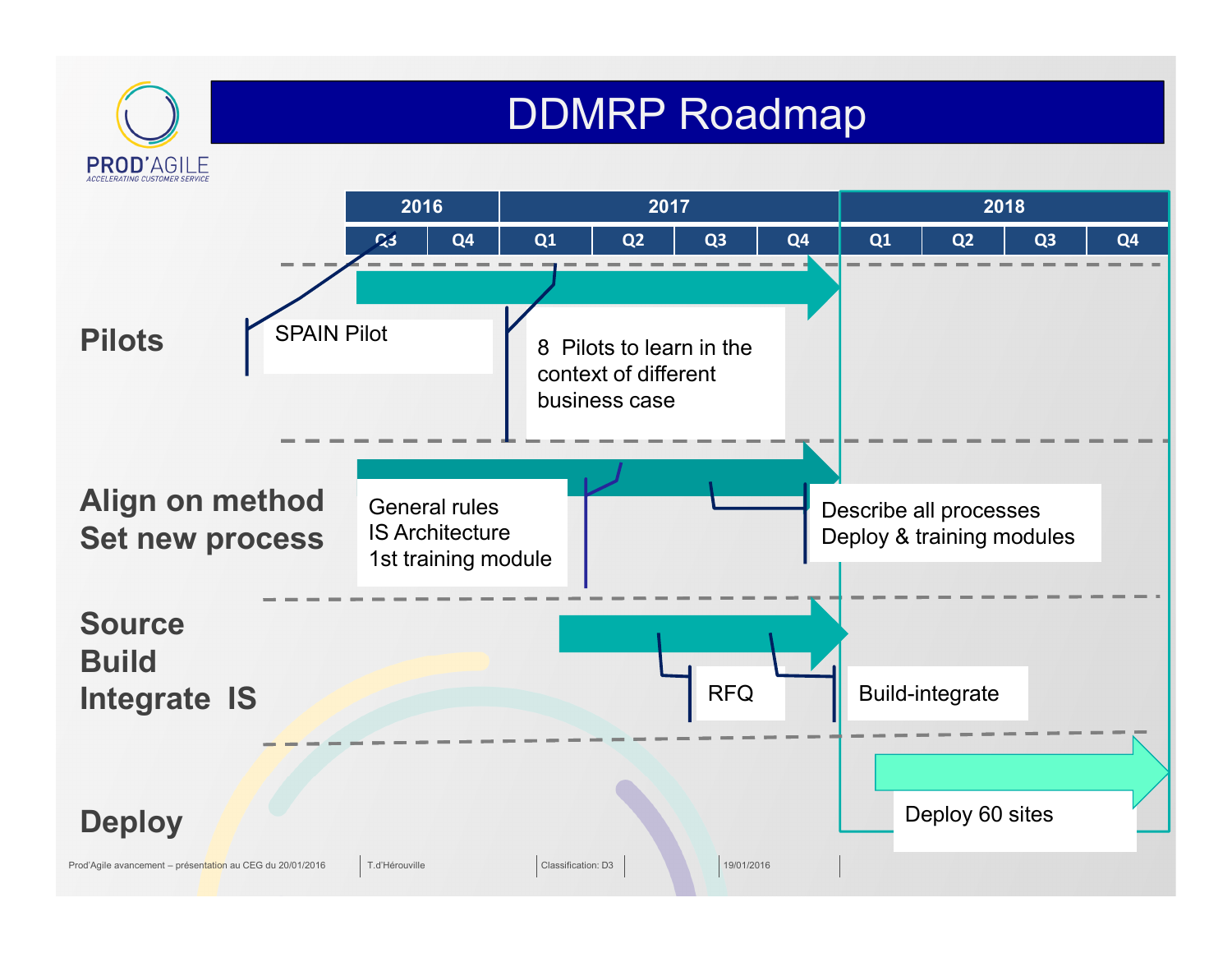